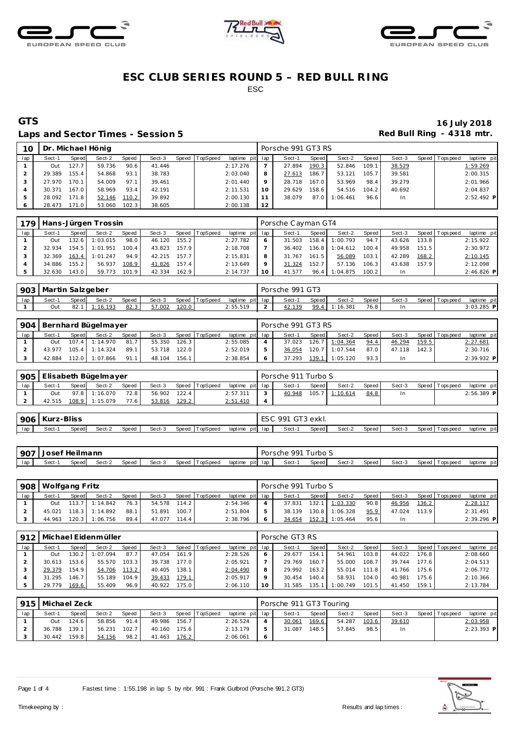





### Laps and Sector Times - Session 5 *Red Bull Ring - 4318 mtr.*

# **GTS 16 July 2018**

| 10  |        |                    | Dr. Michael Hönig |       |        |                |                 |                 | Porsche 991 GT3 RS |       |          |       |        |                 |              |
|-----|--------|--------------------|-------------------|-------|--------|----------------|-----------------|-----------------|--------------------|-------|----------|-------|--------|-----------------|--------------|
| lap | Sect-1 | Speed              | Sect-2            | Speed | Sect-3 | Speed TopSpeed | laptime pit lap |                 | Sect-1             | Speed | Sect-2   | Speed | Sect-3 | Speed Tops peed | laptime pit  |
|     | Out    | 127.7 <sub>1</sub> | 59.736            | 90.6  | 41.446 |                | 2:17.276        |                 | 27.894             | 190.3 | 52.846   | 109.1 | 38.529 |                 | 1:59.269     |
|     | 29.389 | 155.4              | 54.868            | 93.1  | 38.783 |                | 2:03.040        | 8               | 27.613             | 186.7 | 53.121   | 105.7 | 39.581 |                 | 2:00.315     |
|     | 27.970 | 170.1              | 54.009            | 97.1  | 39.461 |                | 2:01.440        | $\circ$         | 28.718             | 167.0 | 53.969   | 98.4  | 39.279 |                 | 2:01.966     |
|     | 30.371 | 167.0              | 58.969            | 93.4  | 42.191 |                | 2:11.531        | 10 <sup>°</sup> | 29.629             | 158.6 | 54.516   | 104.2 | 40.692 |                 | 2:04.837     |
|     | 28.092 | 171.8              | 52.146            | 110.2 | 39.892 |                | 2:00.130        | 11              | 38.079             | 87.0  | 1:06.461 | 96.6  | In.    |                 | $2:52.492$ P |
|     | 28.473 | 171.0              | 53.060            | 102.3 | 38.605 |                | 2:00.138        | 12              |                    |       |          |       |        |                 |              |

| 179 |        |       | Hans-Jürgen Trossin |       |        |       |                |                 |    | Porsche Cayman GT4 |       |          |        |        |       |                   |             |
|-----|--------|-------|---------------------|-------|--------|-------|----------------|-----------------|----|--------------------|-------|----------|--------|--------|-------|-------------------|-------------|
| lap | Sect-1 | Speed | Sect-2              | Speed | Sect-3 |       | Speed TopSpeed | laptime pit lap |    | Sect-1             | Speed | Sect-2   | Speed  | Sect-3 |       | Speed   Tops peed | laptime pit |
|     | Out    | 132.6 | 1:03.015            | 98.0  | 46.120 | 155.2 |                | 2:27.782        | 6  | 31.503             | 158.4 | 1:00.793 | 94.7   | 43.626 | 133.8 |                   | 2:15.922    |
|     | 32.934 | 154.5 | 1:01.951            | 100.4 | 43.823 | 157.9 |                | 2:18.708        |    | 36.402             | 136.8 | :04.612  | 100.4  | 49.958 | 151.5 |                   | 2:30.972    |
|     | 32.369 | 163.4 | 1:01.247            | 94.9  | 42.215 | 157.7 |                | 2:15.831        | 8  | 31.767             | 161.5 | 56.089   | 103.1  | 42.289 | 168.2 |                   | 2:10.145    |
|     | 34.886 | 155.2 | 56.937              | 108.9 | 41.826 | 157.4 |                | 2:13.649        | Q  | 31.324             | 152.7 | 57.136   | 106.3  | 43.638 | 157.9 |                   | 2:12.098    |
|     | 32.630 | 143.0 | 59.773              | 101.9 | 42.334 | 162.9 |                | 2:14.737        | 10 | 41.577             | 96.4  | :04.875  | 100.21 | In     |       |                   | 2:46.826 P  |

|     | 903   Martin Salzgeber |              |          |       |        |       |          |                 | Porsche 991 GT3 |       |          |       |        |                |              |
|-----|------------------------|--------------|----------|-------|--------|-------|----------|-----------------|-----------------|-------|----------|-------|--------|----------------|--------------|
| lap | Sect-1                 | <b>Speed</b> | Sect-2   | Speed | Sect-3 | Speed | TopSpeed | laptime pit lap | Sect-1          | Speed | Sect-2   | Speed | Sect-3 | Speed Topspeed | laptime pit  |
|     | Out                    | 82.          | 1:16.193 | 82.3  | 57.002 | 120.0 |          | 2:55.519        | <u>42.139</u>   | 99.4  | 1:16.387 | 76.8  |        |                | $3:03.285$ P |

| 904 |        |              | Bernhard Bügelmayer |       |        |       |                |                 | Porsche 991 GT3 RS |       |          |         |        |       |                |             |
|-----|--------|--------------|---------------------|-------|--------|-------|----------------|-----------------|--------------------|-------|----------|---------|--------|-------|----------------|-------------|
| lap | Sect-1 | <b>Speed</b> | Sect-2              | Speed | Sect-3 |       | Speed TopSpeed | laptime pit lap | Sect-1             | Speed | Sect-2   | Speed i | Sect-3 |       | Speed Topspeed | laptime pit |
|     | Out    |              | $107.4$ 1:14.970    | 81.7  | 55.350 | 126.3 |                | 2:55.085        | 37.023             | 126.7 | 1:04.364 | 94.4    | 46.294 | 159.5 |                | 2:27.681    |
|     | 43.977 |              | $105.4$ 1:14.324    | 89.1  | 53.718 | 122.0 |                | 2:52.019        | 36.054             | 120.7 | 1:07.544 | 87.0    | 47.118 | 142.3 |                | 2:30.716    |
|     | 42.884 | 12.0         | 1:07.866            | 91.1  | 48.104 | 156.1 |                | 2:38.854        | 37.293             | 139.1 | 1:05.120 | 93.3    | In.    |       |                | 2:39.932 P  |

| 905 |        |       | Elisabeth Bügelmayer |       |        |       |                |                 |        | Porsche 911 Turbo S |       |          |       |        |                |              |
|-----|--------|-------|----------------------|-------|--------|-------|----------------|-----------------|--------|---------------------|-------|----------|-------|--------|----------------|--------------|
| lap | Sect-1 | Speed | Sect-2               | Speed | Sect-3 |       | Speed TopSpeed | laptime pit lap |        | Sect-1              | Speed | Sect-2   | Speed | Sect-3 | Speed Topspeed | laptime pit  |
|     | Out    |       | 97.8 1:16.070        | 72.8  | 56.902 | 122.4 |                | 2:57.311        | $\sim$ | 40.948              | 105.7 | 1:10.614 | 84.8  |        |                | $2:56.389$ P |
|     | 42.515 | 108.9 | 1:15.079             | 77.61 | 53.816 | 129.2 |                | 2:51.410        |        |                     |       |          |       |        |                |              |

| 906 | Kurz   | z-Bliss<br>$\sim$ $\sim$ |        |       |        |                   |                    | 001   | GT3 exkı. |        |       |        |                  |             |
|-----|--------|--------------------------|--------|-------|--------|-------------------|--------------------|-------|-----------|--------|-------|--------|------------------|-------------|
| lap | Sect-1 | Speed                    | ے۔Sect | Speed | Sect-3 | Speed<br>TopSpeed | laptime<br>pit lap | Sect- | Speed     | Sect-2 | Speed | Sect-3 | Speed<br>opspeed | laptime pit |

| 907 | Uosef Heilmann |       |        |       |        |                |         |         | Porsche 991 Turbo S |       |        |       |        |                 |             |
|-----|----------------|-------|--------|-------|--------|----------------|---------|---------|---------------------|-------|--------|-------|--------|-----------------|-------------|
| lap | Sect-1         | Speed | Sect-2 | Speed | Sect-3 | Speed TopSpeed | laptime | pit lap | Sect-               | Speed | Sect-2 | Speed | Sect-3 | Speed Tops peed | laptime pit |

|     | 908   Wolfgang Fritz |              |                  |       |        |       |                |                 |   | Porsche 991 Turbo S |       |          |       |        |       |                   |              |
|-----|----------------------|--------------|------------------|-------|--------|-------|----------------|-----------------|---|---------------------|-------|----------|-------|--------|-------|-------------------|--------------|
| lap | Sect-1               | <b>Speed</b> | Sect-2           | Speed | Sect-3 |       | Speed TopSpeed | laptime pit lap |   | Sect-1              | Speed | Sect-2   | Speed | Sect-3 |       | Speed   Tops peed | laptime pit  |
|     | Out                  |              | $113.7$ 1:14.842 | 76.3  | 54.578 | 114.2 |                | 2:54.346        |   | 37.831              | 132.1 | 1:03.330 | 90.8  | 46.956 | 136.2 |                   | 2:28.117     |
|     | 45.021               |              | 118.3 1:14.892   | 88.1  | 51.891 | 100.7 |                | 2:51.804        | 5 | 38.139              | 130.8 | 1:06.328 | 95.9  | 47.024 | 113.9 |                   | 2:31.491     |
|     | 44.963               | 120.3        | 1:06.756         | 89.4  | 47.077 | 114.4 |                | 2:38.796        | 6 | 34.654              | 152.3 | 1:05.464 | 95.6  | In     |       |                   | $2:39.296$ P |

|     |        |         | 912   Michael Eidenmüller |       |        |       |                |                 |    | Porsche GT3 RS |       |          |       |        |         |                 |             |
|-----|--------|---------|---------------------------|-------|--------|-------|----------------|-----------------|----|----------------|-------|----------|-------|--------|---------|-----------------|-------------|
| lap | Sect-1 | Speed   | Sect-2                    | Speed | Sect-3 |       | Speed TopSpeed | laptime pit lap |    | Sect-1         | Speed | Sect-2   | Speed | Sect-3 |         | Speed Tops peed | laptime pit |
|     | Out    | 130.2 l | 1:07.094                  | 87.7  | 47.054 | 161.9 |                | 2:28.526        |    | 29.677         | 154.1 | 54.961   | 103.8 | 44.022 | 176.8 l |                 | 2:08.660    |
|     | 30.613 | 153.6   | 55.570                    | 103.3 | 39.738 | 177.0 |                | 2:05.921        |    | 29.769         | 160.7 | 55.000   | 108.7 | 39.744 | 177.6   |                 | 2:04.513    |
|     | 29.379 | 154.9   | 54.706                    | 113.2 | 40.405 | 138.1 |                | 2:04.490        |    | 29.992         | 163.2 | 55.014   | 111.8 | 41.766 | 175.6   |                 | 2:06.772    |
|     | 31.295 | 146.7   | 55.189                    | 104.9 | 39.433 | 179.1 |                | 2:05.917        |    | 30.454         | 140.4 | 58.931   | 104.0 | 40.981 | 175.6   |                 | 2:10.366    |
|     | 29.779 | 169.6   | 55.409                    | 96.9  | 40.922 | 175.0 |                | 2:06.110        | 10 | 31.585         | 135.1 | 1:00.749 | 101.5 | 41.450 | 159.1   |                 | 2:13.784    |

|     | 915   Michael Zeck |       |        |       |        |       |                |                 | Porsche 911 GT3 Touring |        |        |       |        |                |              |  |
|-----|--------------------|-------|--------|-------|--------|-------|----------------|-----------------|-------------------------|--------|--------|-------|--------|----------------|--------------|--|
| lap | Sect-1             | Speed | Sect-2 | Speed | Sect-3 |       | Speed TopSpeed | laptime pit lap | Sect-1                  | Speed  | Sect-2 | Speed | Sect-3 | Speed Topspeed | laptime pit  |  |
|     | Out                | 124.6 | 58.856 | 91.4  | 49.986 | 156.7 |                | 2:26.524        | 30.061                  | 169.6  | 54.287 | 103.6 | 39.610 |                | 2:03.958     |  |
|     | 36.788             | 139.1 | 56.231 | 102.7 | 40.160 | 175.6 |                | 2:13.179        | 31.087                  | 148.51 | 57.845 | 98.5  | In     |                | $2:23.393$ P |  |
|     | 30.442             | 159.8 | 54.156 | 98.2  | 41.463 | 176.2 |                | 2:06.061        |                         |        |        |       |        |                |              |  |

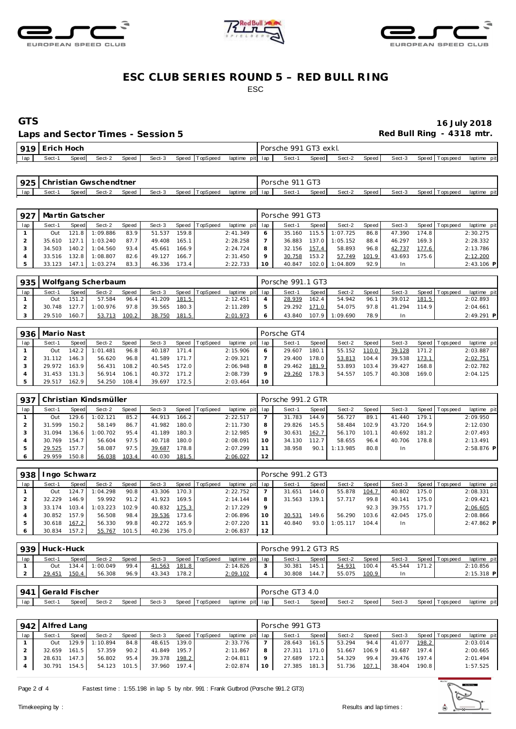





Laps and Sector Times - Session 5 *Red Bull Ring - 4318 mtr.* 

**GTS 16 July 2018**

| 010 | Erich Hoch |       |        |       |        |       |          |         |      |     | OO 1<br>Porsche | ' GT3 exkl. |        |       |        |       |           |                |
|-----|------------|-------|--------|-------|--------|-------|----------|---------|------|-----|-----------------|-------------|--------|-------|--------|-------|-----------|----------------|
|     | Sect-1     | Speed | Sect-2 | Speed | Sect-3 | Speed | TopSpeed | laptime | pitl | lap | Sect-           | Speed       | Sect-2 | Speed | Sect-3 | Speed | Tops peed | pit<br>laptime |

| 925 | l Christian Gwschendtner                                                      |  |  |  |  |  |  |  |         | Porsche | 911 GT3 |        |       |        |                   |             |
|-----|-------------------------------------------------------------------------------|--|--|--|--|--|--|--|---------|---------|---------|--------|-------|--------|-------------------|-------------|
| lap | Speed<br>Sect-3<br>TopSpeed<br>Speed<br>laptime<br>Sect-1<br>Sect-2<br>Speed! |  |  |  |  |  |  |  | pit lap | Sect-1  | Speed   | Sect-2 | Speed | Sect-3 | Speed   Tops peed | laptime pit |

| 927 | Martin Gatscher |              |          |       |        |       |          |             |     | Porsche 991 GT3 |       |          |       |        |        |                 |              |
|-----|-----------------|--------------|----------|-------|--------|-------|----------|-------------|-----|-----------------|-------|----------|-------|--------|--------|-----------------|--------------|
| lap | Sect-1          | <b>Speed</b> | Sect-2   | Speed | Sect-3 | Speed | TopSpeed | laptime pit | lap | Sect-1          | Speed | Sect-2   | Speed | Sect-3 |        | Speed Tops peed | laptime pit  |
|     | Out             | 121.8 I      | 1:09.886 | 83.9  | 51.537 | 159.8 |          | 2:41.349    | 6   | 35.160          | 115.5 | 1:07.725 | 86.8  | 47.390 | 174.8  |                 | 2:30.275     |
|     | 35.610          | 127.         | 1:03.240 | 87.7  | 49.408 | 165.1 |          | 2:28.258    |     | 36.883          | 137.0 | 1:05.152 | 88.4  | 46.297 | 169.3  |                 | 2:28.332     |
|     | 34.503          | 140.2        | 1:04.560 | 93.4  | 45.661 | 166.9 |          | 2:24.724    | 8   | 32.156          | 157.4 | 58.893   | 96.8  | 42.737 | 177.6  |                 | 2:13.786     |
|     | 33.516          | 132.8        | 1:08.807 | 82.6  | 49.127 | 166.7 |          | 2:31.450    | Q   | 30.758          | 153.2 | 57.749   | 101.9 | 43.693 | 175.61 |                 | 2:12.200     |
|     | 33.123          | 147.         | 1:03.274 | 83.3  | 46.336 | 173.4 |          | 2:22.733    | 10  | 40.847          | 102.0 | 1:04.809 | 92.9  | In.    |        |                 | $2:43.106$ P |

|     |        |              | 935   Wolfgang Scherbaum |       |        |       |                |                 | Porsche 991.1 GT3 |       |          |       |        |       |                 |              |
|-----|--------|--------------|--------------------------|-------|--------|-------|----------------|-----------------|-------------------|-------|----------|-------|--------|-------|-----------------|--------------|
| lap | Sect-1 | <b>Speed</b> | Sect-2                   | Speed | Sect-3 |       | Speed TopSpeed | laptime pit lap | Sect-1            | Speed | Sect-2   | Speed | Sect-3 |       | Speed Tops peed | laptime pit  |
|     | Out    | 151.2        | 57.584                   | 96.4  | 41.209 | 181.5 |                | 2:12.451        | 28.939            | 162.4 | 54.942   | 96.1  | 39.012 | 181.5 |                 | 2:02.893     |
|     | 30.748 | 127.7        | 1:00.976                 | 97.8  | 39.565 | 180.3 |                | 2:11.289        | 29.292            | 171.0 | 54.075   | 97.8  | 41.294 | 114.9 |                 | 2:04.661     |
|     | 29.510 | 160.7        | 53.713                   | 100.2 | 38.750 | 181.5 |                | 2:01.973        | 43.840            | 107.9 | 1:09.690 | 78.9  | In     |       |                 | $2:49.291$ P |

| 936 | Mario Nast |       |                |       |        |       |                |                 |    | Porsche GT4 |       |        |       |        |       |                 |             |
|-----|------------|-------|----------------|-------|--------|-------|----------------|-----------------|----|-------------|-------|--------|-------|--------|-------|-----------------|-------------|
| lap | Sect-1     | Speed | Sect-2         | Speed | Sect-3 |       | Speed TopSpeed | laptime pit lap |    | Sect-1      | Speed | Sect-2 | Speed | Sect-3 |       | Speed Tops peed | laptime pit |
|     | Out        |       | 142.2 1:01.481 | 96.8  | 40.187 | 171.4 |                | 2:15.906        |    | 29.607      | 180.1 | 55.152 | 110.0 | 39.128 | 171.2 |                 | 2:03.887    |
|     | 31.112     | 146.3 | 56.620         | 96.8  | 41.589 | 171.7 |                | 2:09.321        |    | 29.400      | 178.0 | 53.813 | 104.4 | 39.538 | 173.1 |                 | 2:02.751    |
|     | 29.972     | 163.9 | 56.431         | 108.2 | 40.545 | 172.0 |                | 2:06.948        |    | 29.462      | 181.9 | 53.893 | 103.4 | 39.427 | 168.8 |                 | 2:02.782    |
|     | 31.453     | 131.3 | 56.914         | 106.1 | 40.372 | 171.2 |                | 2:08.739        |    | 29.260      | 178.3 | 54.557 | 105.7 | 40.308 | 169.0 |                 | 2:04.125    |
|     | 29.517     | 162.9 | 54.250         | 108.4 | 39.697 | 172.5 |                | 2:03.464        | 10 |             |       |        |       |        |       |                 |             |

| 937 |        |       | Christian Kindsmüller |       |        |       |                 |             |     | Porsche 991.2 GTR |       |          |       |        |       |                |              |
|-----|--------|-------|-----------------------|-------|--------|-------|-----------------|-------------|-----|-------------------|-------|----------|-------|--------|-------|----------------|--------------|
| lap | Sect-1 | Speed | Sect-2                | Speed | Sect-3 | Speed | <b>TopSpeed</b> | laptime pit | lap | Sect-1            | Speed | Sect-2   | Speed | Sect-3 |       | Speed Topspeed | laptime pit  |
|     | Out    | 129.6 | 1:02.121              | 85.2  | 44.913 | 166.2 |                 | 2:22.517    |     | 31.783            | 144.9 | 56.727   | 89.   | 41.440 | 179.1 |                | 2:09.950     |
|     | 31.599 | 150.2 | 58.149                | 86.7  | 41.982 | 180.0 |                 | 2:11.730    | 8   | 29.826            | 145.5 | 58.484   | 102.9 | 43.720 | 164.9 |                | 2:12.030     |
|     | 31.094 | 136.6 | 1:00.702              | 95.4  | 41.189 | 180.3 |                 | 2:12.985    | 9   | 30.631            | 162.7 | 56.170   | 101.1 | 40.692 | 181.2 |                | 2:07.493     |
|     | 30.769 | 154.7 | 56.604                | 97.5  | 40.718 | 180.0 |                 | 2:08.091    | 10  | 34.130            | 112.7 | 58.655   | 96.4  | 40.706 | 178.8 |                | 2:13.491     |
|     | 29.525 | 157.7 | 58.087                | 97.5  | 39.687 | 178.8 |                 | 2:07.299    | 11  | 38.958            | 90.   | 1:13.985 | 80.8  | In.    |       |                | $2:58.876$ P |
|     | 29.959 | 150.8 | 56.038                | 103.4 | 40.030 | 181.5 |                 | 2:06.027    | 12  |                   |       |          |       |        |       |                |              |

| 938 | Ingo Schwarz |       |          |       |        |       |          |                 |         | Porsche 991.2 GT3 |       |          |       |        |         |                |              |
|-----|--------------|-------|----------|-------|--------|-------|----------|-----------------|---------|-------------------|-------|----------|-------|--------|---------|----------------|--------------|
| lap | Sect-1       | Speed | Sect-2   | Speed | Sect-3 | Speed | TopSpeed | laptime pit lap |         | Sect-1            | Speed | Sect-2   | Speed | Sect-3 |         | Speed Topspeed | laptime pit  |
|     | Out          | 124.7 | 1:04.298 | 90.8  | 43.306 | 170.3 |          | 2:22.752        |         | 31.651            | 144.0 | 55.878   | 104.7 | 40.802 | 175.0 l |                | 2:08.331     |
|     | 32.229       | 146.9 | 59.992   | 91.2  | 41.923 | 169.5 |          | 2:14.144        | 8       | 31.563            | 139.1 | 57.717   | 99.8  | 40.141 | 175.0   |                | 2:09.421     |
|     | 33.174       | 103.4 | 1:03.223 | 102.9 | 40.832 | 175.3 |          | 2:17.229        | $\circ$ |                   |       |          | 92.3  | 39.755 | 171.7   |                | 2:06.605     |
|     | 30.852       | 157.9 | 56.508   | 98.4  | 39.536 | 173.6 |          | 2:06.896        | 10      | 30.531            | 149.6 | 56.290   | 103.6 | 42.045 | 175.0 l |                | 2:08.866     |
|     | 30.618       | 167.2 | 56.330   | 99.8  | 40.272 | 165.9 |          | 2:07.220        |         | 40.840            | 93.0  | 1:05.117 | 104.4 | In.    |         |                | $2:47.862$ P |
|     | 30.834       | 157.2 | 55.767   | 101.5 | 40.236 | 175.0 |          | 2:06.837        | 12      |                   |       |          |       |        |         |                |              |

| 939 | Huck-Huck |         |          |       |        |        |                |                 |   | Porsche 991.2 GT3 RS |              |        |        |        |       |                |              |
|-----|-----------|---------|----------|-------|--------|--------|----------------|-----------------|---|----------------------|--------------|--------|--------|--------|-------|----------------|--------------|
| lap | Sect-1    | Speed   | Sect-2   | Speed | Sect-3 |        | Speed TopSpeed | laptime pit lap |   | Sect-1               | <b>Speed</b> | Sect-2 | Speed, | Sect-3 |       | Speed Topspeed | laptime pit  |
|     | Out       | $134.4$ | 1:00.049 | 99.4  | 41.563 | 181.8  |                | 2:14.826        | 3 | 30.381               | 145.1        | 54.931 | 100.4  | 45.544 | 171.2 |                | 2:10.856     |
|     | 29.451    | 150.4   | 56.308   | 96.9  | 43.343 | 178.21 |                | 2:09.102        |   | 30.808               | 144.7        | 55.075 | 100.9  |        |       |                | $2:15.318$ P |
|     |           |         |          |       |        |        |                |                 |   |                      |              |        |        |        |       |                |              |

| 941 | <b>Gerald Fischer</b> |       |        |       |        |                    |                 | GT3 4.0<br>Porsche |       |        |                    |        |                 |             |
|-----|-----------------------|-------|--------|-------|--------|--------------------|-----------------|--------------------|-------|--------|--------------------|--------|-----------------|-------------|
| lap | Sect-                 | Speed | Sect-2 | Speed | Sect-3 | 'TopSpeed<br>Speed | laptime pit lap | Sect-1             | Speed | Sect-2 | Speed <sub>I</sub> | Sect-3 | Speed Tops peed | laptime pit |
|     |                       |       |        |       |        |                    |                 |                    |       |        |                    |        |                 |             |

|     | 942   Alfred Lang |       |                |       |        |       |                |                 |           | Porsche 991 GT3 |         |        |       |        |           |                   |             |
|-----|-------------------|-------|----------------|-------|--------|-------|----------------|-----------------|-----------|-----------------|---------|--------|-------|--------|-----------|-------------------|-------------|
| lap | Sect-1            | Speed | Sect-2         | Speed | Sect-3 |       | Speed TopSpeed | laptime pit lap |           | Sect-1          | Speed I | Sect-2 | Speed | Sect-3 |           | Speed   Tops peed | laptime pit |
|     | <b>Out</b>        |       | 129.9 1:10.894 | 84.8  | 48.615 | 139.0 |                | 2:33.776        |           | 28.643          | 161.5   | 53.294 | 94.4  | 41.077 | 198.2     |                   | 2:03.014    |
|     | 32.659            | 161.5 | 57.359         | 90.2  | 41.849 | 195.7 |                | 2:11.867        | 8         | 27.311 171.0    |         | 51.667 | 106.9 | 41.687 | 197.4     |                   | 2:00.665    |
|     | 28.631            | 147.3 | 56.802         | 95.4  | 39.378 | 198.2 |                | 2:04.811        | $\circ$   | 27.689          | 172.1   | 54.329 | 99.4  | 39.476 | $197.4$ J |                   | 2:01.494    |
|     | 30.791 154.5      |       | 54.123 101.5   |       | 37.960 | 197.4 |                | 2:02.874        | <b>10</b> | 27.385 181.3    |         | 51.736 | 107.1 | 38.404 | 190.8     |                   | 1:57.525    |
|     |                   |       |                |       |        |       |                |                 |           |                 |         |        |       |        |           |                   |             |

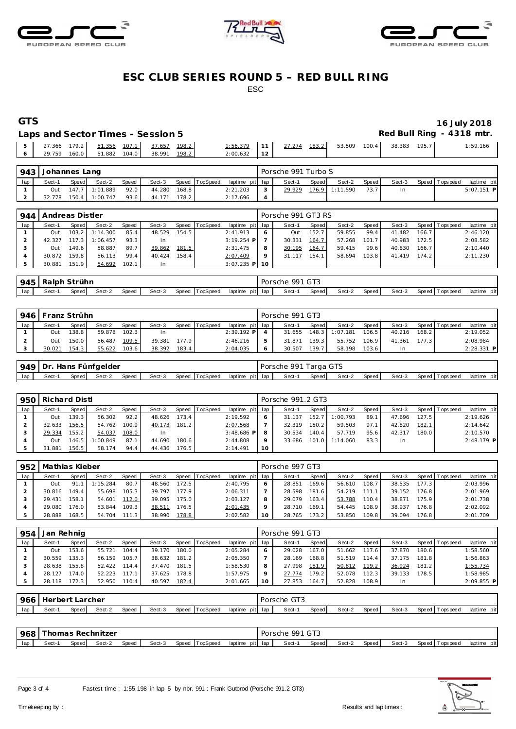





## **GTS 16 July 2018**

|  | Laps and Sector Times - Session 5 |                                          |               |                                                                |  |  | Red Bull Ring - 4318 mtr. |
|--|-----------------------------------|------------------------------------------|---------------|----------------------------------------------------------------|--|--|---------------------------|
|  |                                   | 5 27.366 179.2 51.356 107.1 37.657 198.2 |               | $1:56.379$   11   $27.274$ 183.2   53.509 100.4   38.383 195.7 |  |  | 1:59.166                  |
|  |                                   | 6 29.759 160.0 51.882 104.0 38.991 198.2 | $2:00.632$ 12 |                                                                |  |  |                           |

| 943 | <b>Johannes Lang</b> |       |                |       |        |       |                |                 |        | Porsche 991 Turbo S |       |                |         |        |                 |              |  |
|-----|----------------------|-------|----------------|-------|--------|-------|----------------|-----------------|--------|---------------------|-------|----------------|---------|--------|-----------------|--------------|--|
| lap | Sect-1               | Speed | Sect-2         | Speed | Sect-3 |       | Speed TopSpeed | laptime pit lap |        | Sect-1              | Speed | Sect-2         | Speed I | Sect-3 | Speed Tops peed | laptime pit  |  |
|     | Out                  |       | 147.7 1:01.889 | 92.0  | 44.280 | 168.8 |                | 2:21.203        | $\sim$ | 29.929              |       | 176.9 1:11.590 |         |        |                 | $5:07.151$ P |  |
|     | 32.778               |       | 150.4 1:00.747 | 93.6  | 44.171 | 178.2 |                | 2:17.696        |        |                     |       |                |         |        |                 |              |  |

| 944 | l Andreas Distler |       |          |       |           |       |                |                 |         | Porsche 991 GT3 RS |         |        |       |        |                    |                |             |
|-----|-------------------|-------|----------|-------|-----------|-------|----------------|-----------------|---------|--------------------|---------|--------|-------|--------|--------------------|----------------|-------------|
| lap | Sect-1            | Speed | Sect-2   | Speed | Sect-3    |       | Speed TopSpeed | laptime pit lap |         | Sect-1             | Speed I | Sect-2 | Speed | Sect-3 |                    | Speed Topspeed | laptime pit |
|     | Out               | 103.2 | 1:14.300 | 85.4  | 48.529    | 154.5 |                | 2:41.913        |         | Out                | 152.1   | 59.855 | 99.4  | 41.482 | 166.7              |                | 2:46.120    |
|     | 42.327            | 17.3  | 1:06.457 | 93.3  | <b>In</b> |       |                | $3:19.254$ P    |         | 30.331             | 164.7   | 57.268 | 101.7 | 40.983 | 172.5              |                | 2:08.582    |
|     | Out               | 149.6 | 58.887   | 89.7  | 39.862    | 181.5 |                | 2:31.475        |         | 30.195             | 164.    | 59.415 | 99.6  | 40.830 | 166.7 <sub>1</sub> |                | 2:10.440    |
|     | 30.872            | 159.8 | 56.113   | 99.4  | 40.424    | 158.4 |                | 2:07.409        | $\circ$ |                    | 154.    | 58.694 | 103.8 | 41.419 | 174.2              |                | 2:11.230    |
|     | 30.881            | 151.9 | 54.692   | 102.1 | -In       |       |                | $3:07.235$ P 10 |         |                    |         |        |       |        |                    |                |             |

| 945 <sub>1</sub> | Ralph Strühn                                                   |  |  |  |  |  |                    | Porsche | 991 GT3 |        |       |        |                |             |
|------------------|----------------------------------------------------------------|--|--|--|--|--|--------------------|---------|---------|--------|-------|--------|----------------|-------------|
| lap              | Speed TopSpeed<br>Sect-3<br>Speed<br>Sect-2<br>Sect-1<br>Speed |  |  |  |  |  | pit lap<br>laptime | Sect-1  | Speed   | Sect-2 | Speed | Sect-3 | Speed Topspeed | laptime pit |

|     | 946   Franz Strühn |         |        |       |        |       |          |                 | Porsche 991 GT3 |                    |          |        |        |                    |                 |              |
|-----|--------------------|---------|--------|-------|--------|-------|----------|-----------------|-----------------|--------------------|----------|--------|--------|--------------------|-----------------|--------------|
| lap | Sect-1             | Speed   | Sect-2 | Speed | Sect-3 | Speed | TopSpeed | laptime pit lap | Sect-1          | Speed              | Sect-2   | Speed  | Sect-3 |                    | Speed Tops peed | laptime pit  |
|     | Out                | 138.8 I | 59.878 | 102.3 |        |       |          | $2:39.192$ P    | 31.655          | 148.3              | 1:07.181 | 106.51 | 40.216 | 168.2              |                 | 2:19.052     |
|     | Out                | 150.0   | 56.487 | 109.5 | 39.381 | 177.9 |          | 2:46.216        | 31.871          | 139.3 <sub>1</sub> | 55.752   | 106.91 | 41.361 | 177.3 <sup>1</sup> |                 | 2:08.984     |
|     | 30.021             | 154.3   | 55.622 | 103.6 | 38.392 | 183.4 |          | 2:04.035        | 30.507          | 139.7              | 58.198   | 103.6  | In     |                    |                 | $2:28.331$ P |

|     | 949   Dr. Hans Fünfgelder |        |        |       |        |                |                 | Porsche 991 Targa GTS |       |        |         |        |                |             |
|-----|---------------------------|--------|--------|-------|--------|----------------|-----------------|-----------------------|-------|--------|---------|--------|----------------|-------------|
| lap | Sect-                     | Speedl | Sect-2 | Speed | Sect-3 | Speed TopSpeed | laptime pit lap | Sect-1                | Speed | Sect-2 | Speed I | Sect-3 | Speed Topspeed | laptime pit |

| 950 | Richard Distl |       |          |       |        |       |                |                 |         | Porsche 991.2 GT3 |       |          |       |           |       |                 |              |
|-----|---------------|-------|----------|-------|--------|-------|----------------|-----------------|---------|-------------------|-------|----------|-------|-----------|-------|-----------------|--------------|
| lap | Sect-1        | Speed | Sect-2   | Speed | Sect-3 |       | Speed TopSpeed | laptime pit lap |         | Sect-1            | Speed | Sect-2   | Speed | Sect-3    |       | Speed Tops peed | laptime pit  |
|     | Out           | 139.3 | 56.302   | 92.2  | 48.626 | 173.4 |                | 2:19.592        |         | 31.137            | 152.7 | 1:00.793 | 89.1  | 47.696    | 127.5 |                 | 2:19.626     |
|     | 32.633        | 156.5 | 54.762   | 100.9 | 40.173 | 181.2 |                | 2:07.568        |         | 32.319            | 150.2 | 59.503   | 97.7  | 42.820    | 182.1 |                 | 2:14.642     |
|     | 29.334        | 155.2 | 54.037   | 108.0 | In.    |       |                | $3:48.686$ P    |         | 30.534            | 140.4 | 57.719   | 95.6  | 42.317    | 180.0 |                 | 2:10.570     |
|     | Out           | 146.5 | 1:00.849 | 87.1  | 44.690 | 180.6 |                | 2:44.808        | $\circ$ | 33.686            | 101.0 | 1:14.060 | 83.3  | <b>In</b> |       |                 | $2:48.179$ P |
|     | 31.881        | 156.5 | 58.174   | 94.4  | 44.436 | 176.5 |                | 2:14.491        | 10      |                   |       |          |       |           |       |                 |              |

| 952 | l Mathias Kieber |       |          |       |        |       |                |                 |    | Porsche 997 GT3 |       |        |       |        |         |                |             |
|-----|------------------|-------|----------|-------|--------|-------|----------------|-----------------|----|-----------------|-------|--------|-------|--------|---------|----------------|-------------|
| lap | Sect-1           | Speed | Sect-2   | Speed | Sect-3 |       | Speed TopSpeed | laptime pit lap |    | Sect-1          | Speed | Sect-2 | Speed | Sect-3 |         | Speed Topspeed | laptime pit |
|     | Out              | 91.   | 1:15.284 | 80.7  | 48.560 | 172.5 |                | 2:40.795        |    | 28.851          | 169.6 | 56.610 | 108.7 | 38.535 | 177.3   |                | 2:03.996    |
|     | 30.816           | 149.4 | 55.698   | 105.3 | 39.797 | 177.9 |                | 2:06.311        |    | 28.598          | 181.6 | 54.219 | 111 1 | 39.152 | 176.8 I |                | 2:01.969    |
|     | 29.431           | 158.1 | 54.601   | 112.0 | 39.095 | 175.0 |                | 2:03.127        |    | 29.079          | 163.4 | 53.788 | 110.4 | 38.871 | $175.9$ |                | 2:01.738    |
|     | 29.080           | 176.0 | 53.844   | 109.3 | 38.511 | 176.5 |                | 2:01.435        |    | 28.710          | 169.1 | 54.445 | 108.9 | 38.937 | 176.81  |                | 2:02.092    |
|     | 28.888           | 168.5 | 54.704   | 111.3 | 38.990 | 178.8 |                | 2:02.582        | 10 | 28.765          | 173.2 | 53.850 | 109.8 | 39.094 | 176.8   |                | 2:01.709    |

| Sect-1 | Speed | Sect-2     | Speed | Sect-3 |       |                         | lap | Sect-1      | Speed | Sect-2          | Speed | Sect-3 |       | laptime pit                      |
|--------|-------|------------|-------|--------|-------|-------------------------|-----|-------------|-------|-----------------|-------|--------|-------|----------------------------------|
| Out    | 153.6 | 55.721     | 104.4 | 39.170 |       | 2:05.284                | 6   | 29.028      | 167.0 | 51.662          | 117.6 | 37.870 | 180.6 | 1:58.560                         |
| 30.559 | 135.3 | 56.159     | 105.7 | 38.632 | 181.2 | 2:05.350                |     | 28.169      | 168.8 | 51.519          | 114.4 | 37.175 |       | 1:56.863                         |
| 28.638 | 155.8 | 52.422     | 114.4 | 37.470 | 181.5 | 1:58.530                | 8   | 27.998      | 181.9 | 50.812          | 119.2 | 36.924 |       | 1:55.734                         |
| 28.127 | 174.0 | 52.223     | 117.1 | 37.625 | 178.8 | 1:57.975                | o   | 27.774      | 179.2 | 52.078          | 112.3 | 39.133 | 178.5 | 1:58.985                         |
| 28.118 | 172.3 | 52.950     | 110.4 | 40.597 | 182.4 | 2:01.665                | 10  | 27.853      | 164.7 | 52.828          | 108.9 | In.    |       | $2:09.855$ P                     |
|        | 954   | Jan Rehnig |       |        |       | Speed TopSpeed<br>180.0 |     | laptime pit |       | Porsche 991 GT3 |       |        |       | Speed Topspeed<br>181.8<br>181.2 |

| 19661 |       | Herbert Larcher |        |       |        |                |                 | Porsche GT3 |       |        |       |        |                   |             |
|-------|-------|-----------------|--------|-------|--------|----------------|-----------------|-------------|-------|--------|-------|--------|-------------------|-------------|
| lap   | Sect- | Speed           | Sect-2 | Speed | Sect-3 | Speed TopSpeed | laptime pit lap | Sect-1      | Speed | Sect-2 | Speed | Sect-3 | Speed   Tops peed | laptime pit |
|       |       |                 |        |       |        |                |                 |             |       |        |       |        |                   |             |

| 1968 |       |       | Thomas Rechnitzer |       |        |       |                 |         |         | Porsche 991 GT3 |       |        |       |        |                   |             |  |
|------|-------|-------|-------------------|-------|--------|-------|-----------------|---------|---------|-----------------|-------|--------|-------|--------|-------------------|-------------|--|
| lap  | Sect- | Speed | Sect-2            | Speed | Sect-3 | Speed | <b>TopSpeed</b> | laptime | pit lap | Sect-1          | Speed | Sect-2 | Speed | Sect-3 | Speed   Tops peed | laptime pit |  |
|      |       |       |                   |       |        |       |                 |         |         |                 |       |        |       |        |                   |             |  |